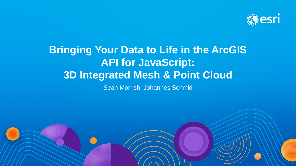

# **Bringing Your Data to Life in the ArcGIS API for JavaScript: 3D Integrated Mesh & Point Cloud**

Sean Morrish, Johannes Schmid

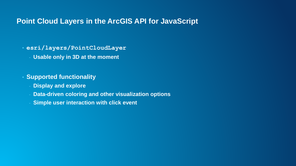## **Point Cloud Layers in the ArcGIS API for JavaScript**

- **esri/layers/PointCloudLayer**
	- **Usable only in 3D at the moment**
- **Supported functionality**
	- **Display and explore**
	- **Data-driven coloring and other visualization options**
	- **Simple user interaction with click event**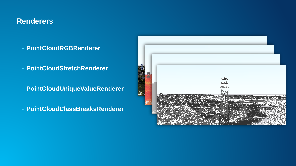# **Renderers**

- **PointCloudRGBRenderer**
- **PointCloudStretchRenderer**
- **PointCloudUniqueValueRenderer**
- **PointCloudClassBreaksRenderer**

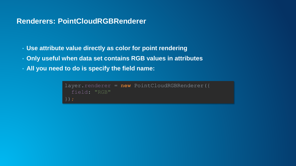## **Renderers: PointCloudRGBRenderer**

- **Use attribute value directly as color for point rendering**
- **Only useful when data set contains RGB values in attributes**
- **All you need to do is specify the field name:**

```
layer.renderer = new PointCloudRGBRenderer({
  field: "RGB"
```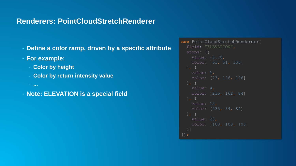#### **Renderers: PointCloudStretchRenderer**

- **Define a color ramp, driven by a specific attribute**
- **For example:**
	- **Color by height**
	- **Color by return intensity value**

```
- ...
```
• **Note: ELEVATION is a special field**

```
new PointCloudStretchRenderer({
   value: -0.78,
    color: [61, 51, 158]
   value: 1,
    color: [73, 196, 196]
    color: [235, 162, 84]
  }]
```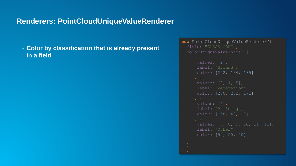#### **Renderers: PointCloudUniqueValueRenderer**

#### • **Color by classification that is already present in a field**

```
new PointCloudUniqueValueRenderer({
     values: [2],
     label: "Ground",
      color: [222, 184, 135]
     values: [3, 4, 5],
     label: "Vegetation",
     values: [6],
     label: "Building",
      color: [158, 40, 17]
     values: [7, 8, 9, 10, 11, 12],
     label: "Other",
```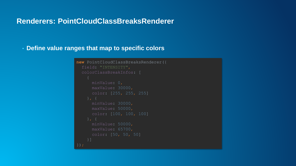## **Renderers: PointCloudClassBreaksRenderer**

#### • **Define value ranges that map to specific colors**

```
new PointCloudClassBreaksRenderer({
  field: "INTENSITY",
  colorClassBreakInfos: [
      minValue: 0,
      maxValue: 50000,
    }]
```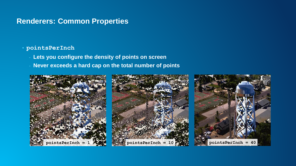## **Renderers: Common Properties**

#### • **pointsPerInch**

- **Lets you configure the density of points on screen**
- **Never exceeds a hard cap on the total number of points**

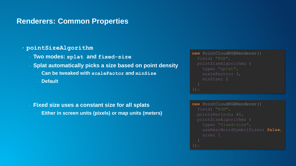#### **Renderers: Common Properties**

#### • **pointSizeAlgorithm**

- **Two modes: splat and fixed-size**
- **Splat automatically picks a size based on point density**
	- **Can be tweaked with scaleFactor and minSize**
	- **Default**

**Fixed size uses a constant size for all splats Either in screen units (pixels) or map units (meters)** 

```
new PointCloudRGBRenderer({
  field: "RGB",
    type: "splat",
    scaleFactor: 3,
    minSize: 2
new PointCloudRGBRenderer({
  field: "RGB",
```

```
pointSizeAlgorithm: {
 type: "fixed-size",
 useRealWorldSymbolSizes: false,
 size: 1
```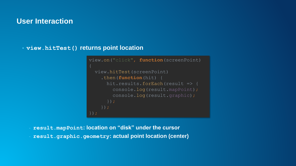#### **User Interaction**

• **view.hitTest() returns point location**

```
view.on("click", function(screenPoint) 
  view.hitTest(screenPoint)
    .then(function(hit) {
      hit.results.forEach(result => {
        console.log(result.mapPoint);
        console.log(result.graphic);
```
- **result.mapPoint: location on "disk" under the cursor** - **result.graphic.geometry: actual point location (center)**